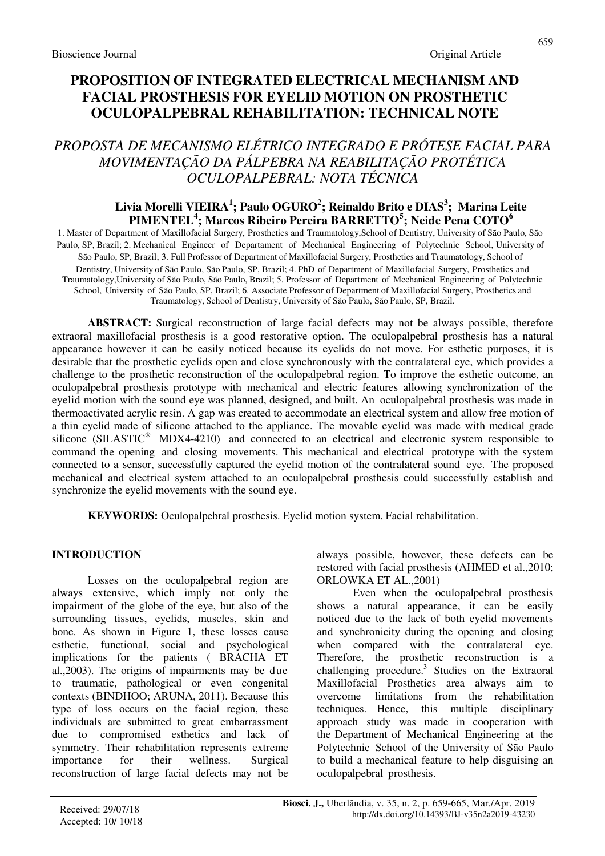# **PROPOSITION OF INTEGRATED ELECTRICAL MECHANISM AND FACIAL PROSTHESIS FOR EYELID MOTION ON PROSTHETIC OCULOPALPEBRAL REHABILITATION: TECHNICAL NOTE**

# *PROPOSTA DE MECANISMO ELÉTRICO INTEGRADO E PRÓTESE FACIAL PARA MOVIMENTAÇÃO DA PÁLPEBRA NA REABILITAÇÃO PROTÉTICA OCULOPALPEBRAL: NOTA TÉCNICA*

## **Livia Morelli VIEIRA<sup>1</sup> ; Paulo OGURO<sup>2</sup> ; Reinaldo Brito e DIAS<sup>3</sup> ; Marina Leite PIMENTEL<sup>4</sup> ; Marcos Ribeiro Pereira BARRETTO<sup>5</sup> ; Neide Pena COTO<sup>6</sup>**

1. Master of Department of Maxillofacial Surgery, Prosthetics and Traumatology,School of Dentistry, University of São Paulo, São Paulo, SP, Brazil; 2. Mechanical Engineer of Departament of Mechanical Engineering of Polytechnic School, University of São Paulo, SP, Brazil; 3. Full Professor of Department of Maxillofacial Surgery, Prosthetics and Traumatology, School of Dentistry, University of São Paulo, São Paulo, SP, Brazil; 4. PhD of Department of Maxillofacial Surgery, Prosthetics and Traumatology,University of São Paulo, São Paulo, Brazil; 5. Professor of Department of Mechanical Engineering of Polytechnic School, University of São Paulo, SP, Brazil; 6. Associate Professor of Department of Maxillofacial Surgery, Prosthetics and Traumatology, School of Dentistry, University of São Paulo, São Paulo, SP, Brazil.

**ABSTRACT:** Surgical reconstruction of large facial defects may not be always possible, therefore extraoral maxillofacial prosthesis is a good restorative option. The oculopalpebral prosthesis has a natural appearance however it can be easily noticed because its eyelids do not move. For esthetic purposes, it is desirable that the prosthetic eyelids open and close synchronously with the contralateral eye, which provides a challenge to the prosthetic reconstruction of the oculopalpebral region. To improve the esthetic outcome, an oculopalpebral prosthesis prototype with mechanical and electric features allowing synchronization of the eyelid motion with the sound eye was planned, designed, and built. An oculopalpebral prosthesis was made in thermoactivated acrylic resin. A gap was created to accommodate an electrical system and allow free motion of a thin eyelid made of silicone attached to the appliance. The movable eyelid was made with medical grade silicone (SILASTIC<sup>®</sup> MDX4-4210) and connected to an electrical and electronic system responsible to command the opening and closing movements. This mechanical and electrical prototype with the system connected to a sensor, successfully captured the eyelid motion of the contralateral sound eye. The proposed mechanical and electrical system attached to an oculopalpebral prosthesis could successfully establish and synchronize the eyelid movements with the sound eye.

**KEYWORDS:** Oculopalpebral prosthesis. Eyelid motion system. Facial rehabilitation.

## **INTRODUCTION**

Losses on the oculopalpebral region are always extensive, which imply not only the impairment of the globe of the eye, but also of the surrounding tissues, eyelids, muscles, skin and bone. As shown in Figure 1, these losses cause esthetic, functional, social and psychological implications for the patients ( BRACHA ET al.,2003). The origins of impairments may be due to traumatic, pathological or even congenital contexts (BINDHOO; ARUNA, 2011). Because this type of loss occurs on the facial region, these individuals are submitted to great embarrassment due to compromised esthetics and lack of symmetry. Their rehabilitation represents extreme importance for their wellness. Surgical reconstruction of large facial defects may not be

always possible, however, these defects can be restored with facial prosthesis (AHMED et al.,2010; ORLOWKA ET AL.,2001)

Even when the oculopalpebral prosthesis shows a natural appearance, it can be easily noticed due to the lack of both eyelid movements and synchronicity during the opening and closing when compared with the contralateral eye. Therefore, the prosthetic reconstruction is a challenging procedure.<sup>3</sup> Studies on the Extraoral Maxillofacial Prosthetics area always aim to overcome limitations from the rehabilitation techniques. Hence, this multiple disciplinary approach study was made in cooperation with the Department of Mechanical Engineering at the Polytechnic School of the University of São Paulo to build a mechanical feature to help disguising an oculopalpebral prosthesis.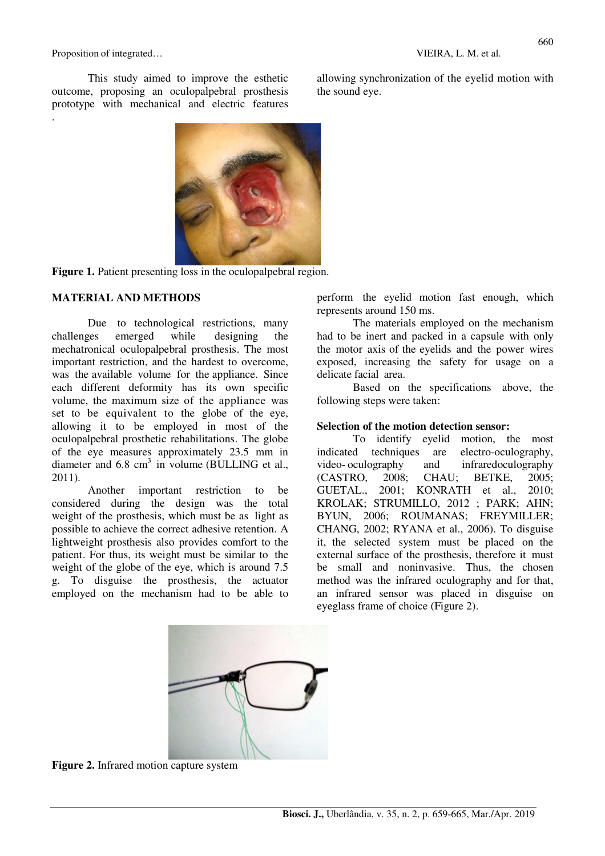Proposition of integrated…  $VIEIRA, L. M.$  et al.

.

This study aimed to improve the esthetic outcome, proposing an oculopalpebral prosthesis prototype with mechanical and electric features

allowing synchronization of the eyelid motion with the sound eye.





#### **MATERIAL AND METHODS**

Due to technological restrictions, many challenges emerged while designing the mechatronical oculopalpebral prosthesis. The most important restriction, and the hardest to overcome, was the available volume for the appliance. Since each different deformity has its own specific volume, the maximum size of the appliance was set to be equivalent to the globe of the eye, allowing it to be employed in most of the oculopalpebral prosthetic rehabilitations. The globe of the eye measures approximately 23.5 mm in diameter and  $6.8 \text{ cm}^3$  in volume (BULLING et al., 2011).

Another important restriction to be considered during the design was the total weight of the prosthesis, which must be as light as possible to achieve the correct adhesive retention. A lightweight prosthesis also provides comfort to the patient. For thus, its weight must be similar to the weight of the globe of the eye, which is around 7.5 g. To disguise the prosthesis, the actuator employed on the mechanism had to be able to perform the eyelid motion fast enough, which represents around 150 ms.

The materials employed on the mechanism had to be inert and packed in a capsule with only the motor axis of the eyelids and the power wires exposed, increasing the safety for usage on a delicate facial area.

Based on the specifications above, the following steps were taken:

#### **Selection of the motion detection sensor:**

To identify eyelid motion, the most indicated techniques are electro-oculography, video- oculography and infraredoculography (CASTRO, 2008; CHAU; BETKE, 2005; GUETAL., 2001; KONRATH et al., 2010; KROLAK; STRUMILLO, 2012 ; PARK; AHN; BYUN, 2006; ROUMANAS; FREYMILLER; CHANG, 2002; RYANA et al., 2006). To disguise it, the selected system must be placed on the external surface of the prosthesis, therefore it must be small and noninvasive. Thus, the chosen method was the infrared oculography and for that, an infrared sensor was placed in disguise on eyeglass frame of choice (Figure 2).



**Figure 2.** Infrared motion capture system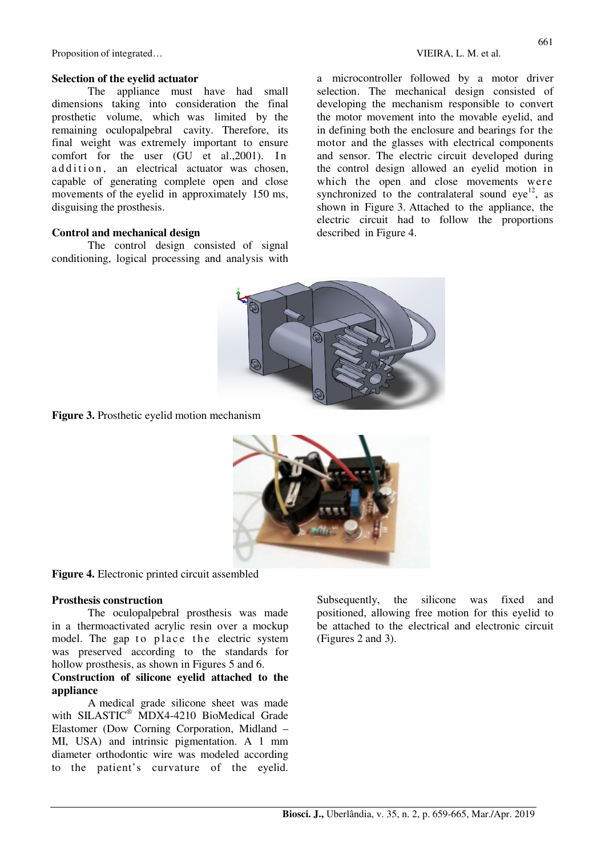Proposition of integrated…  $VIEIRA, L. M.$  et al.

#### **Selection of the eyelid actuator**

The appliance must have had small dimensions taking into consideration the final prosthetic volume, which was limited by the remaining oculopalpebral cavity. Therefore, its final weight was extremely important to ensure comfort for the user  $(GU$  et al.,  $2001$ ). In addition, an electrical actuator was chosen, capable of generating complete open and close movements of the eyelid in approximately 150 ms, disguising the prosthesis.

#### **Control and mechanical design**

The control design consisted of signal conditioning, logical processing and analysis with

a microcontroller followed by a motor driver selection. The mechanical design consisted of developing the mechanism responsible to convert the motor movement into the movable eyelid, and in defining both the enclosure and bearings for the motor and the glasses with electrical components and sensor. The electric circuit developed during the control design allowed an eyelid motion in which the open and close movements were synchronized to the contralateral sound  $eye<sup>12</sup>$ , as shown in Figure 3. Attached to the appliance, the electric circuit had to follow the proportions described in Figure 4.



**Figure 3.** Prosthetic eyelid motion mechanism



**Figure 4.** Electronic printed circuit assembled

#### **Prosthesis construction**

The oculopalpebral prosthesis was made in a thermoactivated acrylic resin over a mockup model. The gap to place the electric system was preserved according to the standards for hollow prosthesis, as shown in Figures 5 and 6.

#### **Construction of silicone eyelid attached to the appliance**

A medical grade silicone sheet was made with SILASTIC® MDX4-4210 BioMedical Grade Elastomer (Dow Corning Corporation, Midland – MI, USA) and intrinsic pigmentation. A 1 mm diameter orthodontic wire was modeled according to the patient's curvature of the eyelid.

Subsequently, the silicone was fixed and positioned, allowing free motion for this eyelid to be attached to the electrical and electronic circuit (Figures 2 and 3).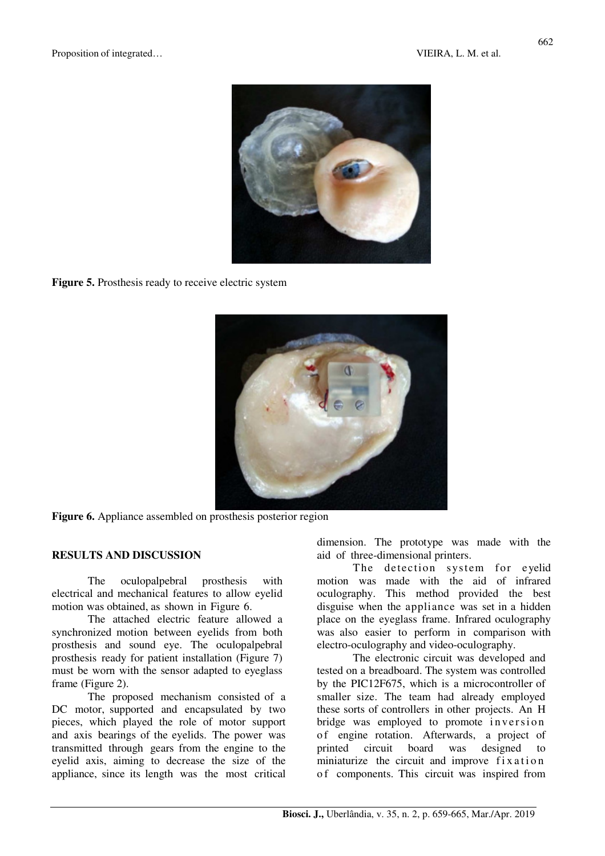

**Figure 5.** Prosthesis ready to receive electric system



Figure 6. Appliance assembled on prosthesis posterior region

### **RESULTS AND DISCUSSION**

The oculopalpebral prosthesis with electrical and mechanical features to allow eyelid motion was obtained, as shown in Figure 6.

The attached electric feature allowed a synchronized motion between eyelids from both prosthesis and sound eye. The oculopalpebral prosthesis ready for patient installation (Figure 7) must be worn with the sensor adapted to eyeglass frame (Figure 2).

The proposed mechanism consisted of a DC motor, supported and encapsulated by two pieces, which played the role of motor support and axis bearings of the eyelids. The power was transmitted through gears from the engine to the eyelid axis, aiming to decrease the size of the appliance, since its length was the most critical dimension. The prototype was made with the aid of three-dimensional printers.

The detection system for eyelid motion was made with the aid of infrared oculography. This method provided the best disguise when the appliance was set in a hidden place on the eyeglass frame. Infrared oculography was also easier to perform in comparison with electro-oculography and video-oculography.

The electronic circuit was developed and tested on a breadboard. The system was controlled by the PIC12F675, which is a microcontroller of smaller size. The team had already employed these sorts of controllers in other projects. An H bridge was employed to promote inversion o f engine rotation. Afterwards, a project of printed circuit board was designed to miniaturize the circuit and improve  $fixation$ o f components. This circuit was inspired from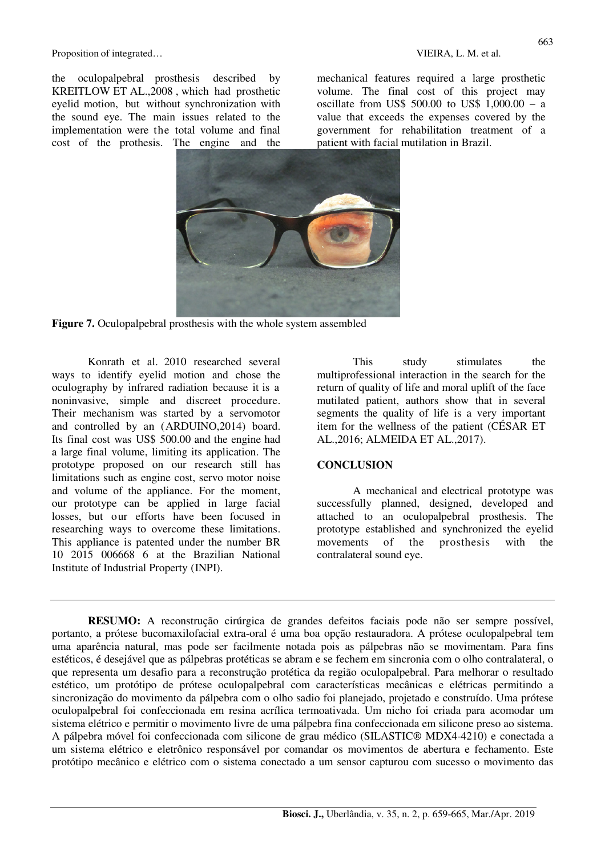Proposition of integrated…  $VIEIRA, L. M.$  et al.

the oculopalpebral prosthesis described by KREITLOW ET AL.,2008 , which had prosthetic eyelid motion, but without synchronization with the sound eye. The main issues related to the implementation were the total volume and final cost of the prothesis. The engine and the mechanical features required a large prosthetic volume. The final cost of this project may oscillate from US\$ 500.00 to US\$ 1,000.00 – a value that exceeds the expenses covered by the government for rehabilitation treatment of a patient with facial mutilation in Brazil.



**Figure 7.** Oculopalpebral prosthesis with the whole system assembled

Konrath et al. 2010 researched several ways to identify eyelid motion and chose the oculography by infrared radiation because it is a noninvasive, simple and discreet procedure. Their mechanism was started by a servomotor and controlled by an (ARDUINO,2014) board. Its final cost was US\$ 500.00 and the engine had a large final volume, limiting its application. The prototype proposed on our research still has limitations such as engine cost, servo motor noise and volume of the appliance. For the moment, our prototype can be applied in large facial losses, but our efforts have been focused in researching ways to overcome these limitations. This appliance is patented under the number BR 10 2015 006668 6 at the Brazilian National Institute of Industrial Property (INPI).

This study stimulates the multiprofessional interaction in the search for the return of quality of life and moral uplift of the face mutilated patient, authors show that in several segments the quality of life is a very important item for the wellness of the patient (CÉSAR ET AL.,2016; ALMEIDA ET AL.,2017).

#### **CONCLUSION**

A mechanical and electrical prototype was successfully planned, designed, developed and attached to an oculopalpebral prosthesis. The prototype established and synchronized the eyelid movements of the prosthesis with the contralateral sound eye.

**RESUMO:** A reconstrução cirúrgica de grandes defeitos faciais pode não ser sempre possível, portanto, a prótese bucomaxilofacial extra-oral é uma boa opção restauradora. A prótese oculopalpebral tem uma aparência natural, mas pode ser facilmente notada pois as pálpebras não se movimentam. Para fins estéticos, é desejável que as pálpebras protéticas se abram e se fechem em sincronia com o olho contralateral, o que representa um desafio para a reconstrução protética da região oculopalpebral. Para melhorar o resultado estético, um protótipo de prótese oculopalpebral com características mecânicas e elétricas permitindo a sincronização do movimento da pálpebra com o olho sadio foi planejado, projetado e construído. Uma prótese oculopalpebral foi confeccionada em resina acrílica termoativada. Um nicho foi criada para acomodar um sistema elétrico e permitir o movimento livre de uma pálpebra fina confeccionada em silicone preso ao sistema. A pálpebra móvel foi confeccionada com silicone de grau médico (SILASTIC® MDX4-4210) e conectada a um sistema elétrico e eletrônico responsável por comandar os movimentos de abertura e fechamento. Este protótipo mecânico e elétrico com o sistema conectado a um sensor capturou com sucesso o movimento das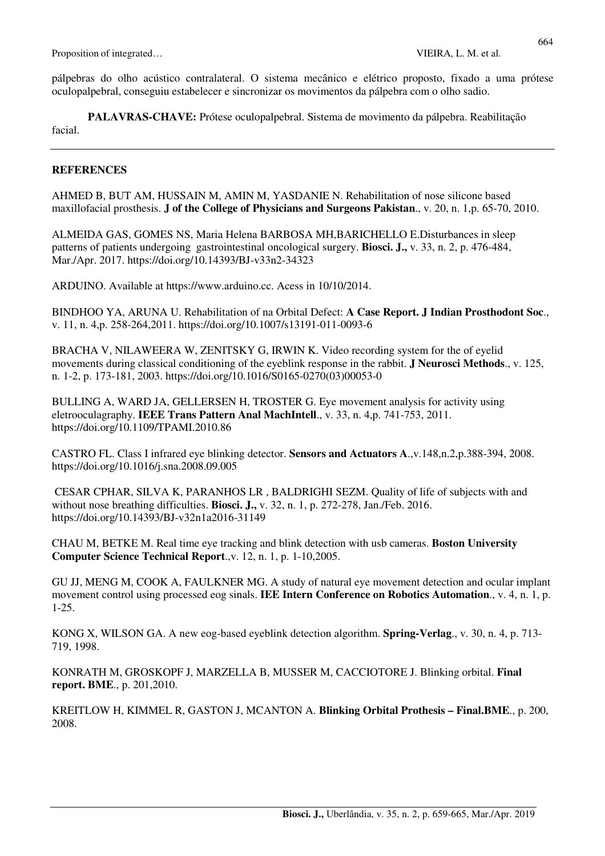pálpebras do olho acústico contralateral. O sistema mecânico e elétrico proposto, fixado a uma prótese oculopalpebral, conseguiu estabelecer e sincronizar os movimentos da pálpebra com o olho sadio.

**PALAVRAS-CHAVE:** Prótese oculopalpebral. Sistema de movimento da pálpebra. Reabilitação facial.

### **REFERENCES**

AHMED B, BUT AM, HUSSAIN M, AMIN M, YASDANIE N. Rehabilitation of nose silicone based maxillofacial prosthesis. **J of the College of Physicians and Surgeons Pakistan**., v. 20, n. 1,p. 65-70, 2010.

ALMEIDA GAS, GOMES NS, Maria Helena BARBOSA MH,BARICHELLO E.Disturbances in sleep patterns of patients undergoing gastrointestinal oncological surgery. **Biosci. J.,** v. 33, n. 2, p. 476-484, Mar./Apr. 2017. https://doi.org/10.14393/BJ-v33n2-34323

ARDUINO. Available at https://www.arduino.cc. Acess in 10/10/2014.

BINDHOO YA, ARUNA U. Rehabilitation of na Orbital Defect: **A Case Report. J Indian Prosthodont Soc**., v. 11, n. 4,p. 258-264,2011. https://doi.org/10.1007/s13191-011-0093-6

BRACHA V, NILAWEERA W, ZENITSKY G, IRWIN K. Video recording system for the of eyelid movements during classical conditioning of the eyeblink response in the rabbit. **J Neurosci Methods**., v. 125, n. 1-2, p. 173-181, 2003. https://doi.org/10.1016/S0165-0270(03)00053-0

BULLING A, WARD JA, GELLERSEN H, TROSTER G. Eye movement analysis for activity using eletrooculagraphy. **IEEE Trans Pattern Anal MachIntell**., v. 33, n. 4,p. 741-753, 2011. https://doi.org/10.1109/TPAMI.2010.86

CASTRO FL. Class I infrared eye blinking detector. **Sensors and Actuators A**.,v.148,n.2,p.388-394, 2008. https://doi.org/10.1016/j.sna.2008.09.005

 CESAR CPHAR, SILVA K, PARANHOS LR , BALDRIGHI SEZM. Quality of life of subjects with and without nose breathing difficulties. **Biosci. J.,** v. 32, n. 1, p. 272-278, Jan./Feb. 2016. https://doi.org/10.14393/BJ-v32n1a2016-31149

CHAU M, BETKE M. Real time eye tracking and blink detection with usb cameras. **Boston University Computer Science Technical Report**.,v. 12, n. 1, p. 1-10,2005.

GU JJ, MENG M, COOK A, FAULKNER MG. A study of natural eye movement detection and ocular implant movement control using processed eog sinals. **IEE Intern Conference on Robotics Automation**., v. 4, n. 1, p. 1-25.

KONG X, WILSON GA. A new eog-based eyeblink detection algorithm. **Spring-Verlag**., v. 30, n. 4, p. 713- 719, 1998.

KONRATH M, GROSKOPF J, MARZELLA B, MUSSER M, CACCIOTORE J. Blinking orbital. **Final report. BME**., p. 201,2010.

KREITLOW H, KIMMEL R, GASTON J, MCANTON A. **Blinking Orbital Prothesis – Final.BME**., p. 200, 2008.